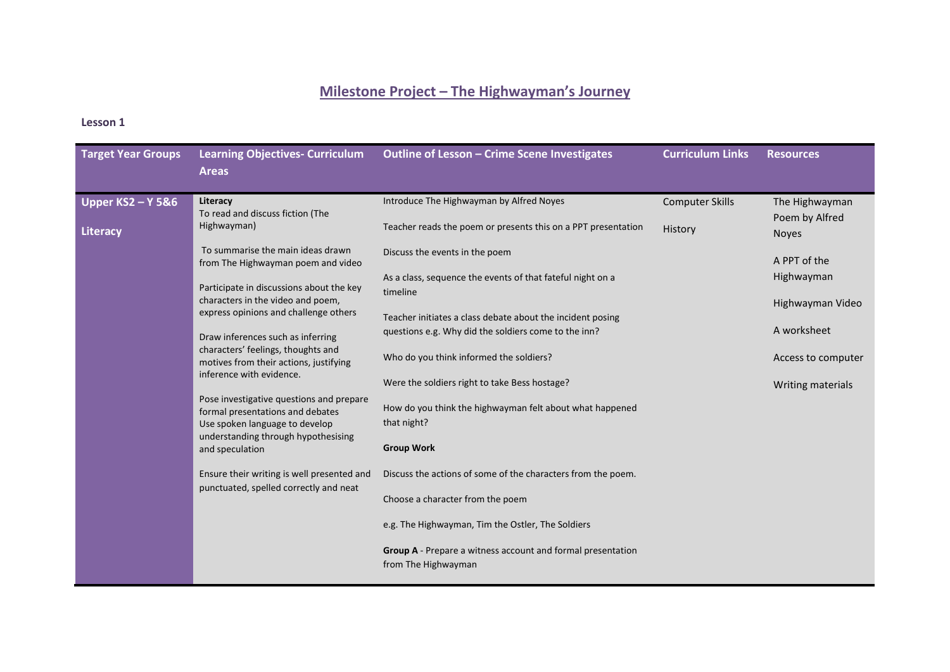# **Milestone Project – The Highwayman's Journey**

# **Lesson 1**

| <b>Target Year Groups</b>                                                                                                                                              | <b>Learning Objectives- Curriculum</b><br><b>Areas</b>                                                                                               | <b>Outline of Lesson - Crime Scene Investigates</b>                                | <b>Curriculum Links</b> | <b>Resources</b>                 |
|------------------------------------------------------------------------------------------------------------------------------------------------------------------------|------------------------------------------------------------------------------------------------------------------------------------------------------|------------------------------------------------------------------------------------|-------------------------|----------------------------------|
| <b>Upper KS2 - Y 5&amp;6</b>                                                                                                                                           | Literacy<br>To read and discuss fiction (The                                                                                                         | Introduce The Highwayman by Alfred Noyes                                           | <b>Computer Skills</b>  | The Highwayman<br>Poem by Alfred |
| Highwayman)<br>Literacy                                                                                                                                                |                                                                                                                                                      | Teacher reads the poem or presents this on a PPT presentation                      | History                 | <b>Noyes</b>                     |
|                                                                                                                                                                        | To summarise the main ideas drawn<br>from The Highwayman poem and video                                                                              | Discuss the events in the poem                                                     |                         | A PPT of the                     |
|                                                                                                                                                                        | Participate in discussions about the key                                                                                                             | As a class, sequence the events of that fateful night on a<br>timeline             |                         | Highwayman                       |
|                                                                                                                                                                        | characters in the video and poem,<br>express opinions and challenge others                                                                           | Teacher initiates a class debate about the incident posing                         |                         | Highwayman Video                 |
|                                                                                                                                                                        | Draw inferences such as inferring                                                                                                                    | questions e.g. Why did the soldiers come to the inn?                               |                         | A worksheet                      |
|                                                                                                                                                                        | characters' feelings, thoughts and<br>motives from their actions, justifying<br>inference with evidence.<br>Pose investigative questions and prepare | Who do you think informed the soldiers?                                            |                         | Access to computer               |
|                                                                                                                                                                        |                                                                                                                                                      | Were the soldiers right to take Bess hostage?                                      |                         | Writing materials                |
| formal presentations and debates<br>Use spoken language to develop<br>understanding through hypothesising<br>and speculation<br>punctuated, spelled correctly and neat | How do you think the highwayman felt about what happened<br>that night?                                                                              |                                                                                    |                         |                                  |
|                                                                                                                                                                        |                                                                                                                                                      | <b>Group Work</b>                                                                  |                         |                                  |
|                                                                                                                                                                        | Ensure their writing is well presented and                                                                                                           | Discuss the actions of some of the characters from the poem.                       |                         |                                  |
|                                                                                                                                                                        |                                                                                                                                                      | Choose a character from the poem                                                   |                         |                                  |
|                                                                                                                                                                        |                                                                                                                                                      | e.g. The Highwayman, Tim the Ostler, The Soldiers                                  |                         |                                  |
|                                                                                                                                                                        |                                                                                                                                                      | Group A - Prepare a witness account and formal presentation<br>from The Highwayman |                         |                                  |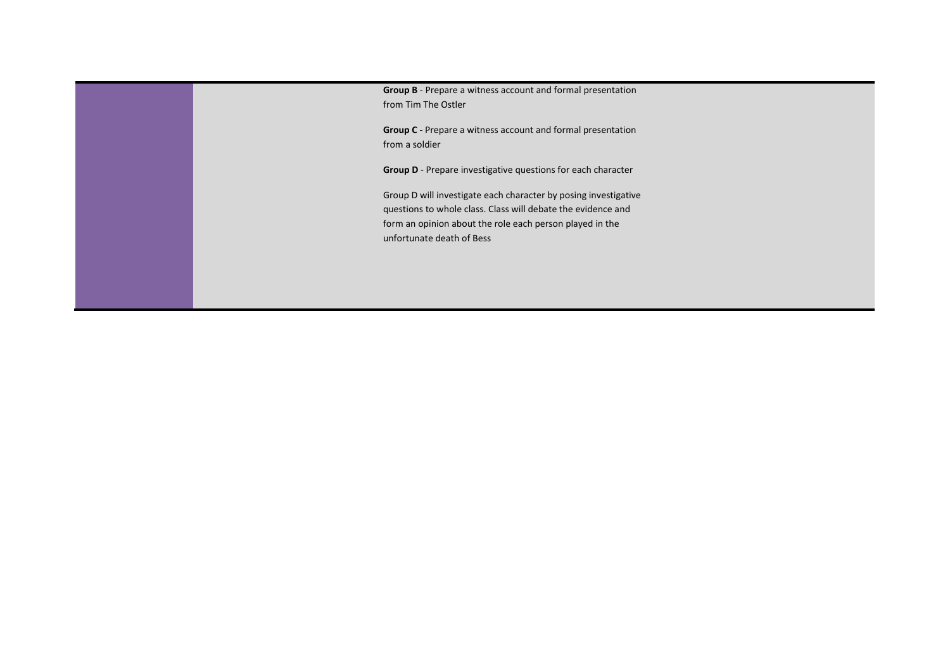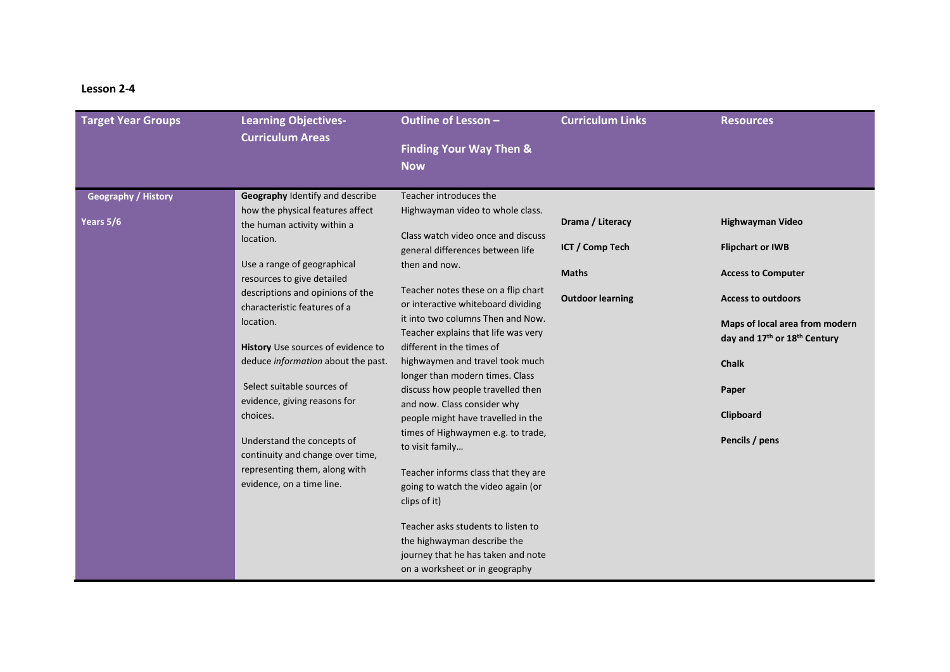# **Lesson 2-4**

| <b>Target Year Groups</b>  | <b>Learning Objectives-</b><br><b>Curriculum Areas</b>                       | Outline of Lesson -<br><b>Finding Your Way Then &amp;</b><br><b>Now</b>                                                                   | <b>Curriculum Links</b>         | <b>Resources</b>                                               |
|----------------------------|------------------------------------------------------------------------------|-------------------------------------------------------------------------------------------------------------------------------------------|---------------------------------|----------------------------------------------------------------|
| <b>Geography / History</b> | Geography Identify and describe                                              | Teacher introduces the                                                                                                                    |                                 |                                                                |
| Years 5/6                  | how the physical features affect<br>the human activity within a<br>location. | Highwayman video to whole class.<br>Class watch video once and discuss                                                                    | Drama / Literacy                | Highwayman Video                                               |
|                            | Use a range of geographical<br>resources to give detailed                    | general differences between life<br>then and now.                                                                                         | ICT / Comp Tech<br><b>Maths</b> | <b>Flipchart or IWB</b><br><b>Access to Computer</b>           |
|                            | descriptions and opinions of the<br>characteristic features of a             | Teacher notes these on a flip chart<br>or interactive whiteboard dividing                                                                 | <b>Outdoor learning</b>         | <b>Access to outdoors</b>                                      |
|                            | location.                                                                    | it into two columns Then and Now.<br>Teacher explains that life was very                                                                  |                                 | Maps of local area from modern<br>day and 17th or 18th Century |
|                            | History Use sources of evidence to<br>deduce information about the past.     | different in the times of<br>highwaymen and travel took much                                                                              |                                 | <b>Chalk</b>                                                   |
|                            | Select suitable sources of<br>evidence, giving reasons for                   | longer than modern times. Class<br>discuss how people travelled then<br>and now. Class consider why                                       |                                 | Paper                                                          |
|                            | choices.                                                                     | people might have travelled in the                                                                                                        |                                 | Clipboard                                                      |
|                            | Understand the concepts of<br>continuity and change over time,               | times of Highwaymen e.g. to trade,<br>to visit family                                                                                     |                                 | Pencils / pens                                                 |
|                            | representing them, along with<br>evidence, on a time line.                   | Teacher informs class that they are<br>going to watch the video again (or<br>clips of it)                                                 |                                 |                                                                |
|                            |                                                                              | Teacher asks students to listen to<br>the highwayman describe the<br>journey that he has taken and note<br>on a worksheet or in geography |                                 |                                                                |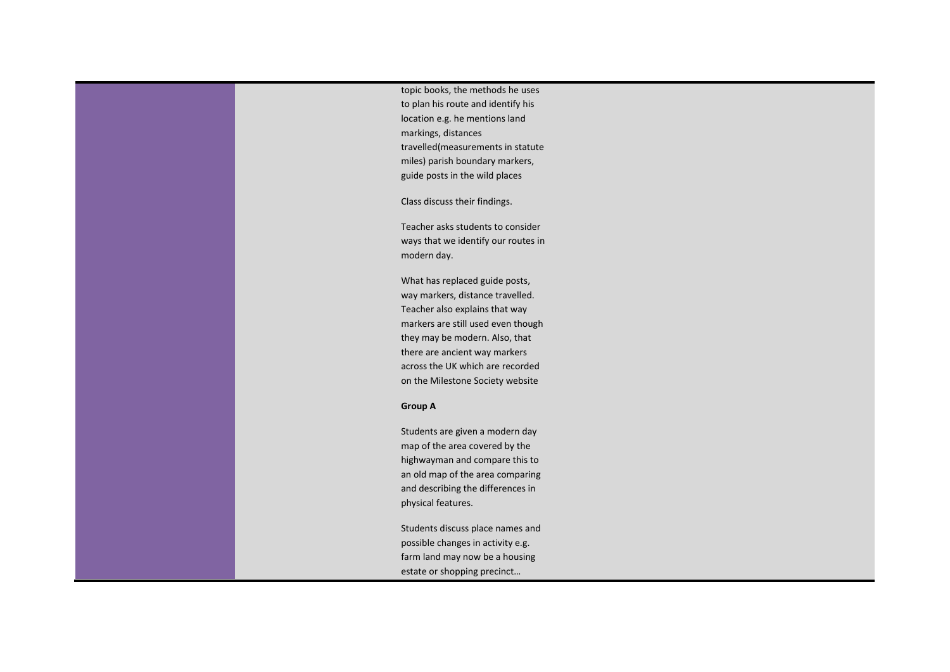topic books, the methods he uses to plan his route and identify his location e.g. he mentions land markings, distances travelled(measurements in statute miles) parish boundary markers, guide posts in the wild places Class discuss their findings.

Teacher asks students to consider ways that we identify our routes in modern day.

What has replaced guide posts, way markers, distance travelled. Teacher also explains that way markers are still used even though they may be modern. Also, that there are ancient way markers across the UK which are recorded on the Milestone Society website

### **Group A**

Students are given a modern day map of the area covered by the highwayman and compare this to an old map of the area comparing and describing the differences in physical features.

Students discuss place names and possible changes in activity e.g. farm land may now be a housing estate or shopping precinct…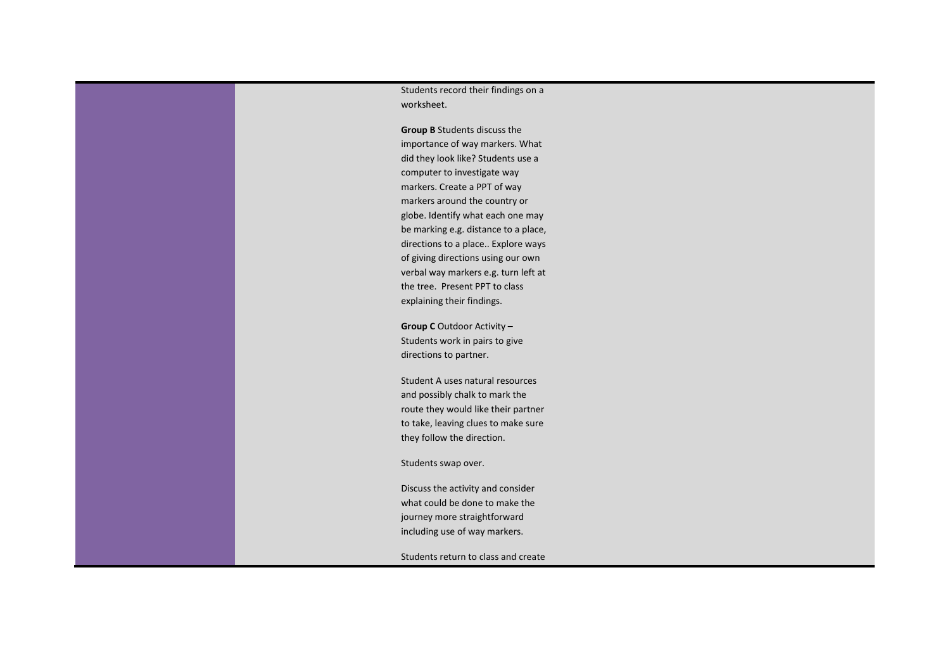Students record their findings on a worksheet.

**Group B** Students discuss the importance of way markers. What did they look like? Students use a computer to investigate way markers. Create a PPT of way markers around the country or globe. Identify what each one may be marking e.g. distance to a place, directions to a place.. Explore ways of giving directions using our own verbal way markers e.g. turn left at the tree. Present PPT to class explaining their findings.

**Group C** Outdoor Activity – Students work in pairs to give directions to partner.

Student A uses natural resources and possibly chalk to mark the route they would like their partner to take, leaving clues to make sure they follow the direction.

Students swap over.

Discuss the activity and consider what could be done to make the journey more straightforward including use of way markers.

Students return to class and create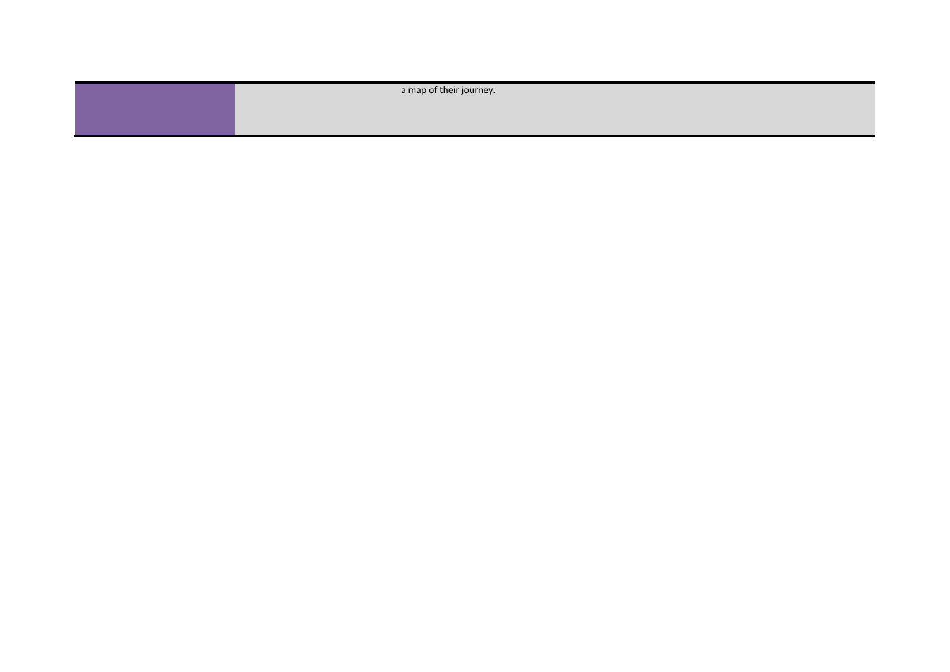| a map of their journey. |
|-------------------------|
|                         |
|                         |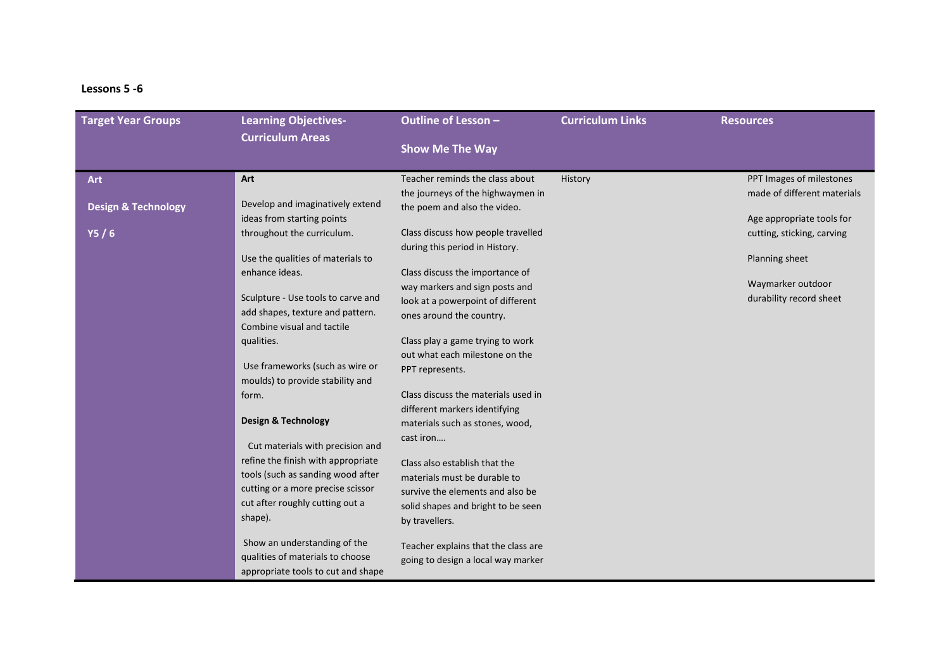## **Lessons 5 -6**

| <b>Target Year Groups</b>      | <b>Learning Objectives-</b><br><b>Curriculum Areas</b>              | Outline of Lesson -                                               | <b>Curriculum Links</b> | <b>Resources</b>            |
|--------------------------------|---------------------------------------------------------------------|-------------------------------------------------------------------|-------------------------|-----------------------------|
|                                |                                                                     | <b>Show Me The Way</b>                                            |                         |                             |
| <b>Art</b>                     | Art                                                                 | Teacher reminds the class about                                   | History                 | PPT Images of milestones    |
| <b>Design &amp; Technology</b> | Develop and imaginatively extend                                    | the journeys of the highwaymen in<br>the poem and also the video. |                         | made of different materials |
|                                | ideas from starting points                                          |                                                                   |                         | Age appropriate tools for   |
| Y5/6                           | throughout the curriculum.                                          | Class discuss how people travelled                                |                         | cutting, sticking, carving  |
|                                | Use the qualities of materials to                                   | during this period in History.                                    |                         | Planning sheet              |
|                                | enhance ideas.                                                      | Class discuss the importance of                                   |                         |                             |
|                                |                                                                     | way markers and sign posts and                                    |                         | Waymarker outdoor           |
|                                | Sculpture - Use tools to carve and                                  | look at a powerpoint of different                                 |                         | durability record sheet     |
|                                | add shapes, texture and pattern.<br>Combine visual and tactile      | ones around the country.                                          |                         |                             |
|                                | qualities.                                                          | Class play a game trying to work                                  |                         |                             |
|                                |                                                                     | out what each milestone on the                                    |                         |                             |
|                                | Use frameworks (such as wire or<br>moulds) to provide stability and | PPT represents.                                                   |                         |                             |
|                                | form.                                                               | Class discuss the materials used in                               |                         |                             |
|                                |                                                                     | different markers identifying                                     |                         |                             |
|                                | Design & Technology                                                 | materials such as stones, wood,                                   |                         |                             |
|                                | Cut materials with precision and                                    | cast iron                                                         |                         |                             |
|                                | refine the finish with appropriate                                  | Class also establish that the                                     |                         |                             |
|                                | tools (such as sanding wood after                                   | materials must be durable to                                      |                         |                             |
|                                | cutting or a more precise scissor                                   | survive the elements and also be                                  |                         |                             |
|                                | cut after roughly cutting out a                                     | solid shapes and bright to be seen                                |                         |                             |
|                                | shape).                                                             | by travellers.                                                    |                         |                             |
|                                | Show an understanding of the                                        | Teacher explains that the class are                               |                         |                             |
|                                | qualities of materials to choose                                    | going to design a local way marker                                |                         |                             |
|                                | appropriate tools to cut and shape                                  |                                                                   |                         |                             |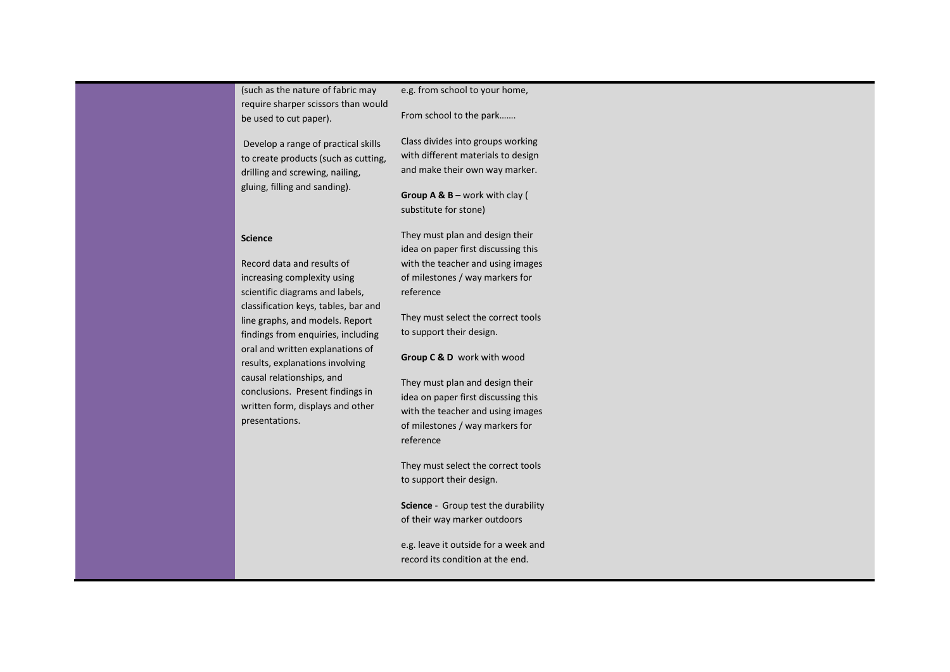| (such as the nature of fabric may                                                                                                                                                                                                                                                                                                                                                                                             | e.g. from school to your home,                                                                                                                                                                                                                                                                                                                                                                                                                                                                                                                                                                                                                  |
|-------------------------------------------------------------------------------------------------------------------------------------------------------------------------------------------------------------------------------------------------------------------------------------------------------------------------------------------------------------------------------------------------------------------------------|-------------------------------------------------------------------------------------------------------------------------------------------------------------------------------------------------------------------------------------------------------------------------------------------------------------------------------------------------------------------------------------------------------------------------------------------------------------------------------------------------------------------------------------------------------------------------------------------------------------------------------------------------|
| require sharper scissors than would                                                                                                                                                                                                                                                                                                                                                                                           | From school to the park                                                                                                                                                                                                                                                                                                                                                                                                                                                                                                                                                                                                                         |
| be used to cut paper).                                                                                                                                                                                                                                                                                                                                                                                                        | Class divides into groups working                                                                                                                                                                                                                                                                                                                                                                                                                                                                                                                                                                                                               |
| Develop a range of practical skills                                                                                                                                                                                                                                                                                                                                                                                           | with different materials to design                                                                                                                                                                                                                                                                                                                                                                                                                                                                                                                                                                                                              |
| to create products (such as cutting,                                                                                                                                                                                                                                                                                                                                                                                          | and make their own way marker.                                                                                                                                                                                                                                                                                                                                                                                                                                                                                                                                                                                                                  |
| drilling and screwing, nailing,                                                                                                                                                                                                                                                                                                                                                                                               | Group A & $B$ – work with clay (                                                                                                                                                                                                                                                                                                                                                                                                                                                                                                                                                                                                                |
| gluing, filling and sanding).                                                                                                                                                                                                                                                                                                                                                                                                 | substitute for stone)                                                                                                                                                                                                                                                                                                                                                                                                                                                                                                                                                                                                                           |
| <b>Science</b><br>Record data and results of<br>increasing complexity using<br>scientific diagrams and labels,<br>classification keys, tables, bar and<br>line graphs, and models. Report<br>findings from enquiries, including<br>oral and written explanations of<br>results, explanations involving<br>causal relationships, and<br>conclusions. Present findings in<br>written form, displays and other<br>presentations. | They must plan and design their<br>idea on paper first discussing this<br>with the teacher and using images<br>of milestones / way markers for<br>reference<br>They must select the correct tools<br>to support their design.<br>Group C & D work with wood<br>They must plan and design their<br>idea on paper first discussing this<br>with the teacher and using images<br>of milestones / way markers for<br>reference<br>They must select the correct tools<br>to support their design.<br>Science - Group test the durability<br>of their way marker outdoors<br>e.g. leave it outside for a week and<br>record its condition at the end. |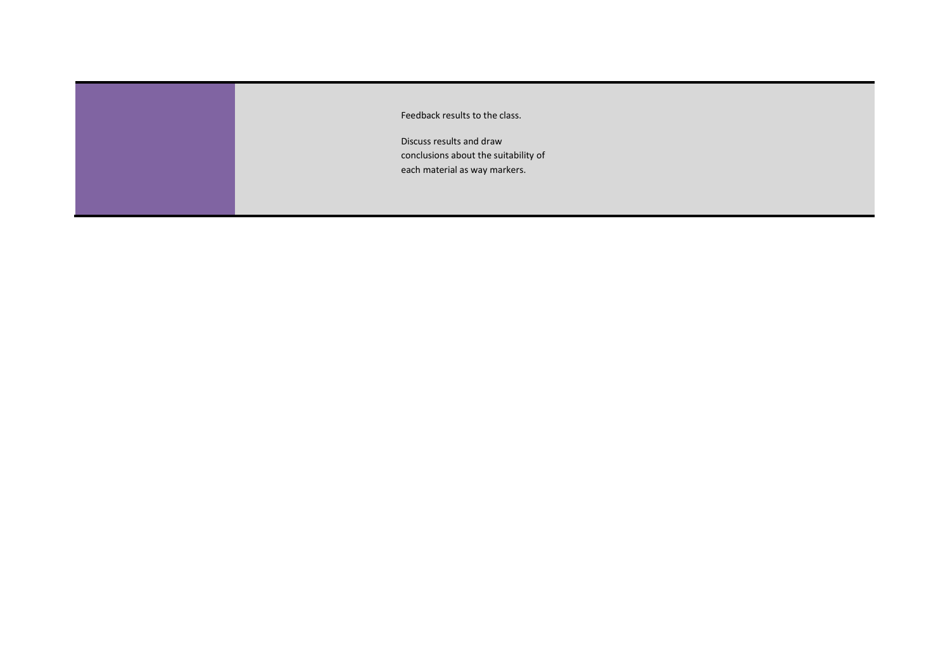| Feedback results to the class.                                                                    |
|---------------------------------------------------------------------------------------------------|
| Discuss results and draw<br>conclusions about the suitability of<br>each material as way markers. |
|                                                                                                   |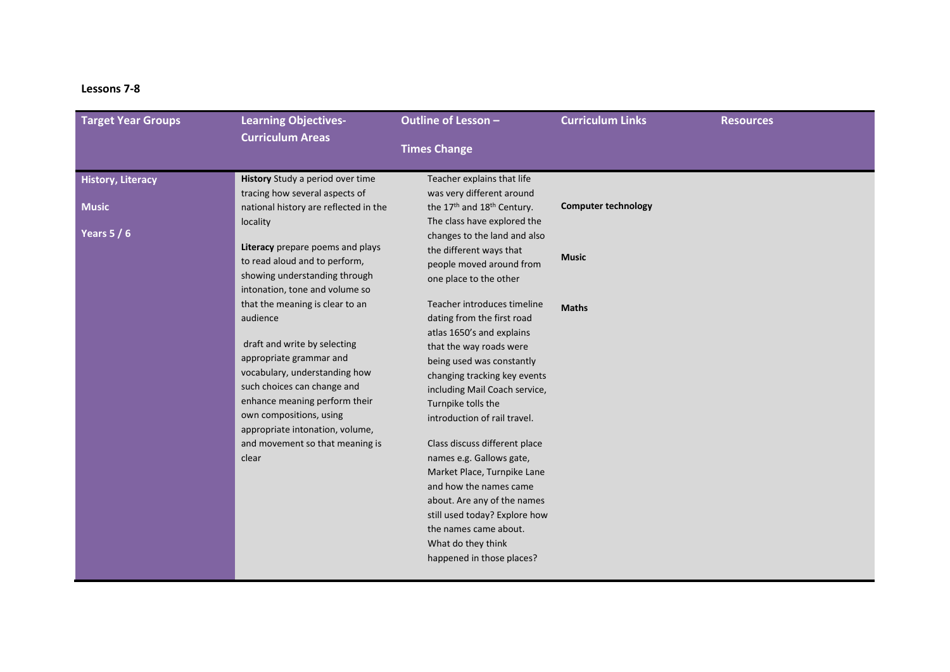## **Lessons 7-8**

| <b>Target Year Groups</b>                               | <b>Learning Objectives-</b>                                                                                                                                                                                                                                                                                                                                                                                                                                                                                                                                                          | Outline of Lesson -                                                                                                                                                                                                                                                                                                                                                                                                                                                                                                                                                                                                                                                                                                                                                         | <b>Curriculum Links</b>                                    | <b>Resources</b> |
|---------------------------------------------------------|--------------------------------------------------------------------------------------------------------------------------------------------------------------------------------------------------------------------------------------------------------------------------------------------------------------------------------------------------------------------------------------------------------------------------------------------------------------------------------------------------------------------------------------------------------------------------------------|-----------------------------------------------------------------------------------------------------------------------------------------------------------------------------------------------------------------------------------------------------------------------------------------------------------------------------------------------------------------------------------------------------------------------------------------------------------------------------------------------------------------------------------------------------------------------------------------------------------------------------------------------------------------------------------------------------------------------------------------------------------------------------|------------------------------------------------------------|------------------|
|                                                         | <b>Curriculum Areas</b>                                                                                                                                                                                                                                                                                                                                                                                                                                                                                                                                                              | <b>Times Change</b>                                                                                                                                                                                                                                                                                                                                                                                                                                                                                                                                                                                                                                                                                                                                                         |                                                            |                  |
| <b>History, Literacy</b><br><b>Music</b><br>Years $5/6$ | History Study a period over time<br>tracing how several aspects of<br>national history are reflected in the<br>locality<br>Literacy prepare poems and plays<br>to read aloud and to perform,<br>showing understanding through<br>intonation, tone and volume so<br>that the meaning is clear to an<br>audience<br>draft and write by selecting<br>appropriate grammar and<br>vocabulary, understanding how<br>such choices can change and<br>enhance meaning perform their<br>own compositions, using<br>appropriate intonation, volume,<br>and movement so that meaning is<br>clear | Teacher explains that life<br>was very different around<br>the 17 <sup>th</sup> and 18 <sup>th</sup> Century.<br>The class have explored the<br>changes to the land and also<br>the different ways that<br>people moved around from<br>one place to the other<br>Teacher introduces timeline<br>dating from the first road<br>atlas 1650's and explains<br>that the way roads were<br>being used was constantly<br>changing tracking key events<br>including Mail Coach service,<br>Turnpike tolls the<br>introduction of rail travel.<br>Class discuss different place<br>names e.g. Gallows gate,<br>Market Place, Turnpike Lane<br>and how the names came<br>about. Are any of the names<br>still used today? Explore how<br>the names came about.<br>What do they think | <b>Computer technology</b><br><b>Music</b><br><b>Maths</b> |                  |
|                                                         |                                                                                                                                                                                                                                                                                                                                                                                                                                                                                                                                                                                      | happened in those places?                                                                                                                                                                                                                                                                                                                                                                                                                                                                                                                                                                                                                                                                                                                                                   |                                                            |                  |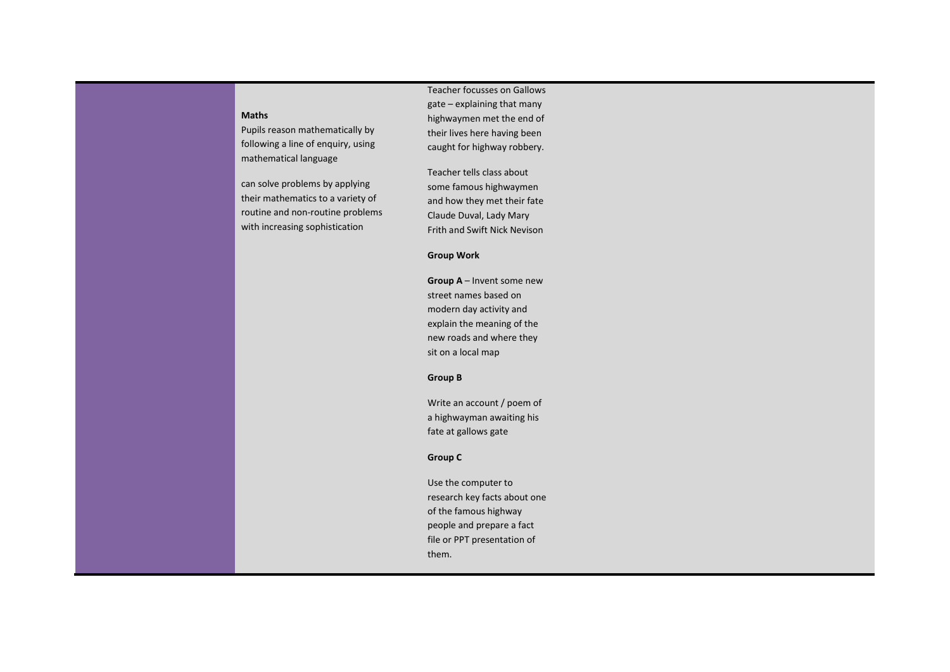#### **Maths**

Pupils reason mathematically by following a line of enquiry, using mathematical language

can solve problems by applying their mathematics to a variety of routine and non-routine problems with increasing sophistication

Teacher focusses on Gallows gate – explaining that many highwaymen met the end of their lives here having been caught for highway robbery.

Teacher tells class about some famous highwaymen and how they met their fate Claude Duval, Lady Mary Frith and Swift Nick Nevison

#### **Group Work**

**Group A** – Invent some new street names based on modern day activity and explain the meaning of the new roads and where they sit on a local map

## **Group B**

Write an account / poem of a highwayman awaiting his fate at gallows gate

## **Group C**

Use the computer to research key facts about one of the famous highway people and prepare a fact file or PPT presentation of them.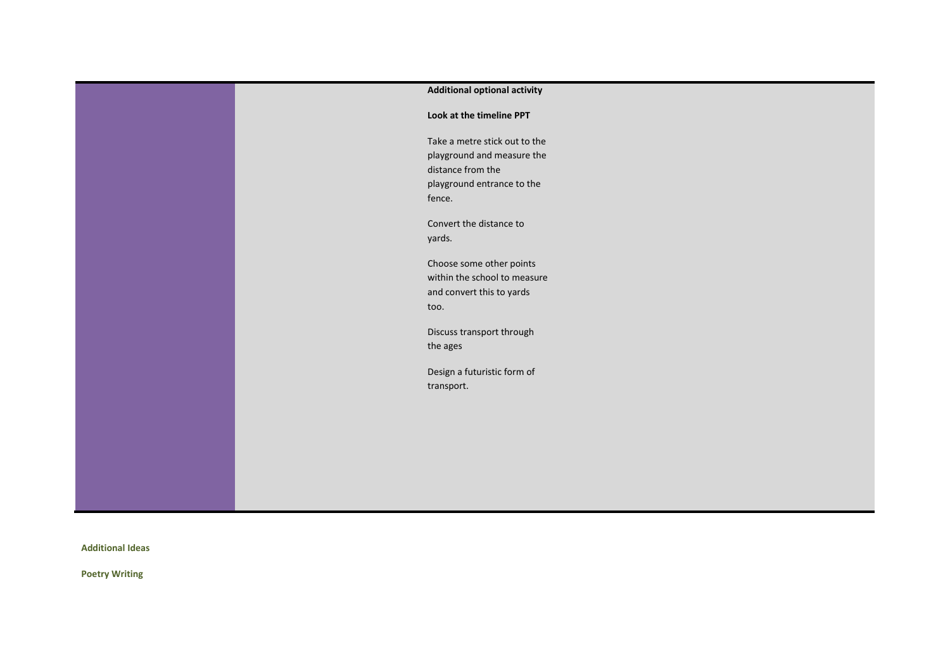| <b>Additional optional activity</b> |
|-------------------------------------|
| Look at the timeline PPT            |
| Take a metre stick out to the       |
| playground and measure the          |
| distance from the                   |
| playground entrance to the          |
| fence.                              |
| Convert the distance to             |
| yards.                              |
|                                     |
| Choose some other points            |
| within the school to measure        |
| and convert this to yards           |
| too.                                |
| Discuss transport through           |
| the ages                            |
|                                     |
| Design a futuristic form of         |
| transport.                          |
|                                     |
|                                     |
|                                     |
|                                     |
|                                     |
|                                     |
|                                     |
|                                     |

**Additional Ideas**

**Poetry Writing**